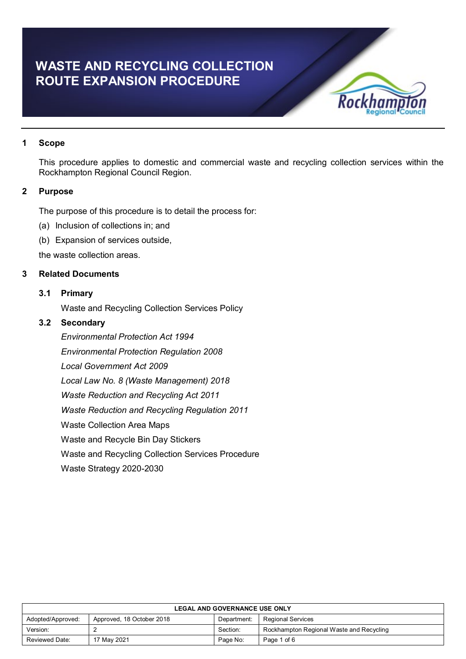# **WASTE AND RECYCLING COLLECTION ROUTE EXPANSION PROCEDURE**



## **1 Scope**

This procedure applies to domestic and commercial waste and recycling collection services within the Rockhampton Regional Council Region.

## **2 Purpose**

The purpose of this procedure is to detail the process for:

- (a) Inclusion of collections in; and
- (b) Expansion of services outside,

the waste collection areas.

## **3 Related Documents**

## **3.1 Primary**

Waste and Recycling Collection Services Policy

## **3.2 Secondary**

*Environmental Protection Act 1994 Environmental Protection Regulation 2008 Local Government Act 2009 Local Law No. 8 (Waste Management) 2018 Waste Reduction and Recycling Act 2011 Waste Reduction and Recycling Regulation 2011* Waste Collection Area Maps Waste and Recycle Bin Day Stickers Waste and Recycling Collection Services Procedure Waste Strategy 2020-2030

| <b>LEGAL AND GOVERNANCE USE ONLY</b>                                                      |             |          |                                          |  |
|-------------------------------------------------------------------------------------------|-------------|----------|------------------------------------------|--|
| Approved, 18 October 2018<br>Adopted/Approved:<br><b>Regional Services</b><br>Department: |             |          |                                          |  |
| Version:                                                                                  |             | Section: | Rockhampton Regional Waste and Recycling |  |
| Reviewed Date:                                                                            | 17 May 2021 | Page No: | Page 1 of 6                              |  |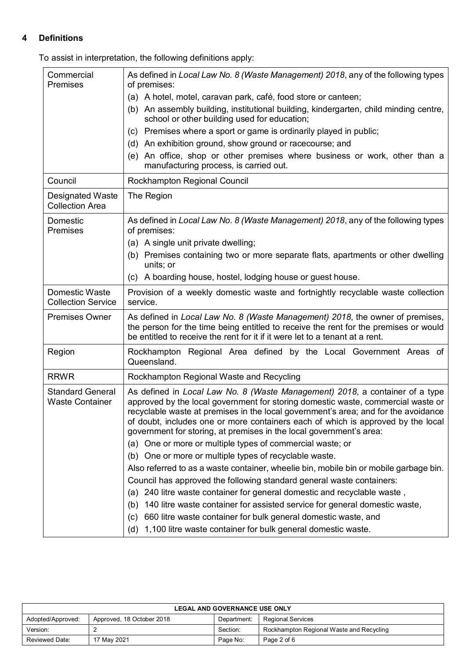## **4 Definitions**

To assist in interpretation, the following definitions apply:

| Commercial<br><b>Premises</b>                     | As defined in Local Law No. 8 (Waste Management) 2018, any of the following types<br>of premises:                                                                                                                                                                                                                                                                                                                 |  |  |
|---------------------------------------------------|-------------------------------------------------------------------------------------------------------------------------------------------------------------------------------------------------------------------------------------------------------------------------------------------------------------------------------------------------------------------------------------------------------------------|--|--|
|                                                   | (a) A hotel, motel, caravan park, café, food store or canteen;                                                                                                                                                                                                                                                                                                                                                    |  |  |
|                                                   | An assembly building, institutional building, kindergarten, child minding centre,<br>(b)<br>school or other building used for education;                                                                                                                                                                                                                                                                          |  |  |
|                                                   | (c) Premises where a sport or game is ordinarily played in public;                                                                                                                                                                                                                                                                                                                                                |  |  |
|                                                   | (d) An exhibition ground, show ground or racecourse; and                                                                                                                                                                                                                                                                                                                                                          |  |  |
|                                                   | (e) An office, shop or other premises where business or work, other than a<br>manufacturing process, is carried out.                                                                                                                                                                                                                                                                                              |  |  |
| Council                                           | Rockhampton Regional Council                                                                                                                                                                                                                                                                                                                                                                                      |  |  |
| <b>Designated Waste</b><br><b>Collection Area</b> | The Region                                                                                                                                                                                                                                                                                                                                                                                                        |  |  |
| Domestic<br><b>Premises</b>                       | As defined in Local Law No. 8 (Waste Management) 2018, any of the following types<br>of premises:                                                                                                                                                                                                                                                                                                                 |  |  |
|                                                   | (a) A single unit private dwelling;                                                                                                                                                                                                                                                                                                                                                                               |  |  |
|                                                   | (b) Premises containing two or more separate flats, apartments or other dwelling<br>units; or                                                                                                                                                                                                                                                                                                                     |  |  |
|                                                   | (c) A boarding house, hostel, lodging house or guest house.                                                                                                                                                                                                                                                                                                                                                       |  |  |
| Domestic Waste<br><b>Collection Service</b>       | Provision of a weekly domestic waste and fortnightly recyclable waste collection<br>service.                                                                                                                                                                                                                                                                                                                      |  |  |
| <b>Premises Owner</b>                             | As defined in Local Law No. 8 (Waste Management) 2018, the owner of premises,<br>the person for the time being entitled to receive the rent for the premises or would<br>be entitled to receive the rent for it if it were let to a tenant at a rent.                                                                                                                                                             |  |  |
| Region                                            | Rockhampton Regional Area defined by the Local Government Areas of<br>Queensland.                                                                                                                                                                                                                                                                                                                                 |  |  |
| <b>RRWR</b>                                       | Rockhampton Regional Waste and Recycling                                                                                                                                                                                                                                                                                                                                                                          |  |  |
| <b>Standard General</b><br><b>Waste Container</b> | As defined in Local Law No. 8 (Waste Management) 2018, a container of a type<br>approved by the local government for storing domestic waste, commercial waste or<br>recyclable waste at premises in the local government's area; and for the avoidance<br>of doubt, includes one or more containers each of which is approved by the local<br>government for storing, at premises in the local government's area: |  |  |
|                                                   | (a) One or more or multiple types of commercial waste; or                                                                                                                                                                                                                                                                                                                                                         |  |  |
|                                                   | (b) One or more or multiple types of recyclable waste.                                                                                                                                                                                                                                                                                                                                                            |  |  |
|                                                   | Also referred to as a waste container, wheelie bin, mobile bin or mobile garbage bin.                                                                                                                                                                                                                                                                                                                             |  |  |
|                                                   | Council has approved the following standard general waste containers:                                                                                                                                                                                                                                                                                                                                             |  |  |
|                                                   | 240 litre waste container for general domestic and recyclable waste,<br>(a)                                                                                                                                                                                                                                                                                                                                       |  |  |
|                                                   | 140 litre waste container for assisted service for general domestic waste,<br>(b)                                                                                                                                                                                                                                                                                                                                 |  |  |
|                                                   | 660 litre waste container for bulk general domestic waste, and<br>(c)                                                                                                                                                                                                                                                                                                                                             |  |  |
|                                                   | 1,100 litre waste container for bulk general domestic waste.<br>(d)                                                                                                                                                                                                                                                                                                                                               |  |  |

| <b>LEGAL AND GOVERNANCE USE ONLY</b> |                           |             |                                          |
|--------------------------------------|---------------------------|-------------|------------------------------------------|
| Adopted/Approved:                    | Approved, 18 October 2018 | Department: | <b>Regional Services</b>                 |
| Version:                             |                           | Section:    | Rockhampton Regional Waste and Recycling |
| Reviewed Date:                       | 17 May 2021               | Page No:    | Page 2 of 6                              |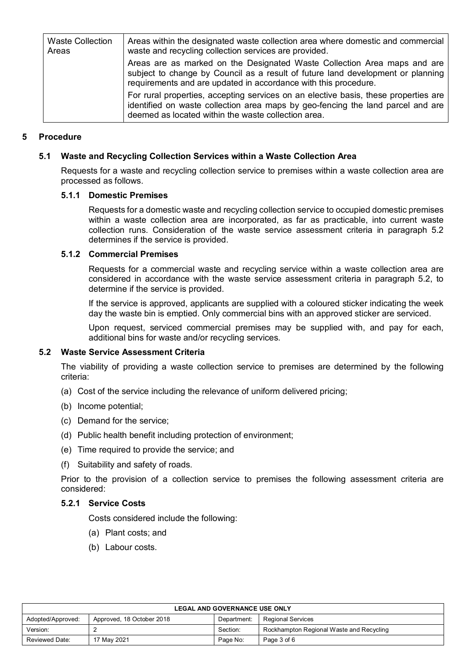| <b>Waste Collection</b><br>Areas | Areas within the designated waste collection area where domestic and commercial<br>waste and recycling collection services are provided.                                                                                       |  |  |
|----------------------------------|--------------------------------------------------------------------------------------------------------------------------------------------------------------------------------------------------------------------------------|--|--|
|                                  | Areas are as marked on the Designated Waste Collection Area maps and are<br>subject to change by Council as a result of future land development or planning<br>requirements and are updated in accordance with this procedure. |  |  |
|                                  | For rural properties, accepting services on an elective basis, these properties are<br>identified on waste collection area maps by geo-fencing the land parcel and are<br>deemed as located within the waste collection area.  |  |  |

## **5 Procedure**

## **5.1 Waste and Recycling Collection Services within a Waste Collection Area**

Requests for a waste and recycling collection service to premises within a waste collection area are processed as follows.

#### **5.1.1 Domestic Premises**

Requests for a domestic waste and recycling collection service to occupied domestic premises within a waste collection area are incorporated, as far as practicable, into current waste collection runs. Consideration of the waste service assessment criteria in paragraph 5.2 determines if the service is provided.

## **5.1.2 Commercial Premises**

Requests for a commercial waste and recycling service within a waste collection area are considered in accordance with the waste service assessment criteria in paragraph 5.2, to determine if the service is provided.

If the service is approved, applicants are supplied with a coloured sticker indicating the week day the waste bin is emptied. Only commercial bins with an approved sticker are serviced.

Upon request, serviced commercial premises may be supplied with, and pay for each, additional bins for waste and/or recycling services.

#### **5.2 Waste Service Assessment Criteria**

The viability of providing a waste collection service to premises are determined by the following criteria:

- (a) Cost of the service including the relevance of uniform delivered pricing;
- (b) Income potential;
- (c) Demand for the service;
- (d) Public health benefit including protection of environment;
- (e) Time required to provide the service; and
- (f) Suitability and safety of roads.

Prior to the provision of a collection service to premises the following assessment criteria are considered:

#### **5.2.1 Service Costs**

Costs considered include the following:

- (a) Plant costs; and
- (b) Labour costs.

| <b>LEGAL AND GOVERNANCE USE ONLY</b>                                               |             |          |                                          |  |
|------------------------------------------------------------------------------------|-------------|----------|------------------------------------------|--|
| Approved, 18 October 2018<br>Adopted/Approved:<br>Regional Services<br>Department: |             |          |                                          |  |
| Version:                                                                           |             | Section: | Rockhampton Regional Waste and Recycling |  |
| Reviewed Date:                                                                     | 17 May 2021 | Page No: | Page 3 of 6                              |  |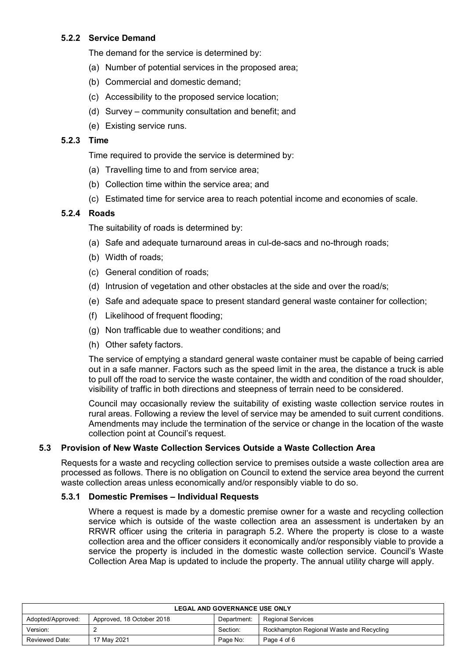## **5.2.2 Service Demand**

The demand for the service is determined by:

- (a) Number of potential services in the proposed area;
- (b) Commercial and domestic demand;
- (c) Accessibility to the proposed service location;
- (d) Survey community consultation and benefit; and
- (e) Existing service runs.

## **5.2.3 Time**

Time required to provide the service is determined by:

- (a) Travelling time to and from service area;
- (b) Collection time within the service area; and
- (c) Estimated time for service area to reach potential income and economies of scale.

## **5.2.4 Roads**

The suitability of roads is determined by:

- (a) Safe and adequate turnaround areas in cul-de-sacs and no-through roads;
- (b) Width of roads;
- (c) General condition of roads;
- (d) Intrusion of vegetation and other obstacles at the side and over the road/s;
- (e) Safe and adequate space to present standard general waste container for collection;
- (f) Likelihood of frequent flooding;
- (g) Non trafficable due to weather conditions; and
- (h) Other safety factors.

The service of emptying a standard general waste container must be capable of being carried out in a safe manner. Factors such as the speed limit in the area, the distance a truck is able to pull off the road to service the waste container, the width and condition of the road shoulder, visibility of traffic in both directions and steepness of terrain need to be considered.

Council may occasionally review the suitability of existing waste collection service routes in rural areas. Following a review the level of service may be amended to suit current conditions. Amendments may include the termination of the service or change in the location of the waste collection point at Council's request.

## **5.3 Provision of New Waste Collection Services Outside a Waste Collection Area**

Requests for a waste and recycling collection service to premises outside a waste collection area are processed as follows. There is no obligation on Council to extend the service area beyond the current waste collection areas unless economically and/or responsibly viable to do so.

## **5.3.1 Domestic Premises – Individual Requests**

Where a request is made by a domestic premise owner for a waste and recycling collection service which is outside of the waste collection area an assessment is undertaken by an RRWR officer using the criteria in paragraph 5.2. Where the property is close to a waste collection area and the officer considers it economically and/or responsibly viable to provide a service the property is included in the domestic waste collection service. Council's Waste Collection Area Map is updated to include the property. The annual utility charge will apply.

| <b>LEGAL AND GOVERNANCE USE ONLY</b> |                           |             |                                          |
|--------------------------------------|---------------------------|-------------|------------------------------------------|
| Adopted/Approved:                    | Approved, 18 October 2018 | Department: | <b>Regional Services</b>                 |
| Version:                             |                           | Section:    | Rockhampton Regional Waste and Recycling |
| <b>Reviewed Date:</b>                | 17 May 2021               | Page No:    | Page 4 of 6                              |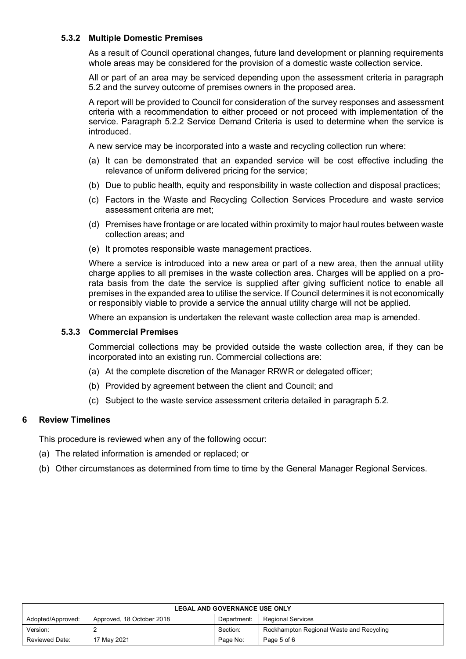## **5.3.2 Multiple Domestic Premises**

As a result of Council operational changes, future land development or planning requirements whole areas may be considered for the provision of a domestic waste collection service.

All or part of an area may be serviced depending upon the assessment criteria in paragraph 5.2 and the survey outcome of premises owners in the proposed area.

A report will be provided to Council for consideration of the survey responses and assessment criteria with a recommendation to either proceed or not proceed with implementation of the service. Paragraph 5.2.2 Service Demand Criteria is used to determine when the service is introduced.

A new service may be incorporated into a waste and recycling collection run where:

- (a) It can be demonstrated that an expanded service will be cost effective including the relevance of uniform delivered pricing for the service;
- (b) Due to public health, equity and responsibility in waste collection and disposal practices;
- (c) Factors in the Waste and Recycling Collection Services Procedure and waste service assessment criteria are met;
- (d) Premises have frontage or are located within proximity to major haul routes between waste collection areas; and
- (e) It promotes responsible waste management practices.

Where a service is introduced into a new area or part of a new area, then the annual utility charge applies to all premises in the waste collection area. Charges will be applied on a prorata basis from the date the service is supplied after giving sufficient notice to enable all premises in the expanded area to utilise the service. If Council determines it is not economically or responsibly viable to provide a service the annual utility charge will not be applied.

Where an expansion is undertaken the relevant waste collection area map is amended.

## **5.3.3 Commercial Premises**

Commercial collections may be provided outside the waste collection area, if they can be incorporated into an existing run. Commercial collections are:

- (a) At the complete discretion of the Manager RRWR or delegated officer;
- (b) Provided by agreement between the client and Council; and
- (c) Subject to the waste service assessment criteria detailed in paragraph 5.2.

## **6 Review Timelines**

This procedure is reviewed when any of the following occur:

- (a) The related information is amended or replaced; or
- (b) Other circumstances as determined from time to time by the General Manager Regional Services.

| <b>LEGAL AND GOVERNANCE USE ONLY</b> |                           |             |                                          |
|--------------------------------------|---------------------------|-------------|------------------------------------------|
| Adopted/Approved:                    | Approved, 18 October 2018 | Department: | <b>Regional Services</b>                 |
| Version:                             |                           | Section:    | Rockhampton Regional Waste and Recycling |
| Reviewed Date:                       | 17 May 2021               | Page No:    | Page 5 of 6                              |